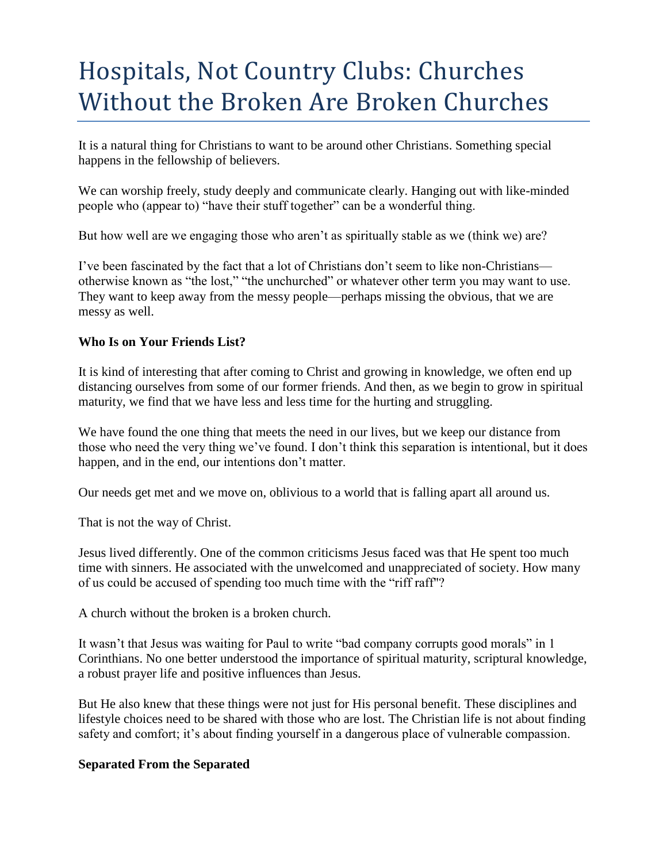# Hospitals, Not Country Clubs: Churches Without the Broken Are Broken Churches

It is a natural thing for Christians to want to be around other Christians. Something special happens in the fellowship of believers.

We can worship freely, study deeply and communicate clearly. Hanging out with like-minded people who (appear to) "have their stuff together" can be a wonderful thing.

But how well are we engaging those who aren't as spiritually stable as we (think we) are?

I've been fascinated by the fact that a lot of Christians don't seem to like non-Christians otherwise known as "the lost," "the unchurched" or whatever other term you may want to use. They want to keep away from the messy people—perhaps missing the obvious, that we are messy as well.

## **Who Is on Your Friends List?**

It is kind of interesting that after coming to Christ and growing in knowledge, we often end up distancing ourselves from some of our former friends. And then, as we begin to grow in spiritual maturity, we find that we have less and less time for the hurting and struggling.

We have found the one thing that meets the need in our lives, but we keep our distance from those who need the very thing we've found. I don't think this separation is intentional, but it does happen, and in the end, our intentions don't matter.

Our needs get met and we move on, oblivious to a world that is falling apart all around us.

That is not the way of Christ.

Jesus lived differently. One of the common criticisms Jesus faced was that He spent too much time with sinners. He associated with the unwelcomed and unappreciated of society. How many of us could be accused of spending too much time with the "riff raff"?

A church without the broken is a broken church.

It wasn't that Jesus was waiting for Paul to write "bad company corrupts good morals" in 1 Corinthians. No one better understood the importance of spiritual maturity, scriptural knowledge, a robust prayer life and positive influences than Jesus.

But He also knew that these things were not just for His personal benefit. These disciplines and lifestyle choices need to be shared with those who are lost. The Christian life is not about finding safety and comfort; it's about finding yourself in a dangerous place of vulnerable compassion.

## **Separated From the Separated**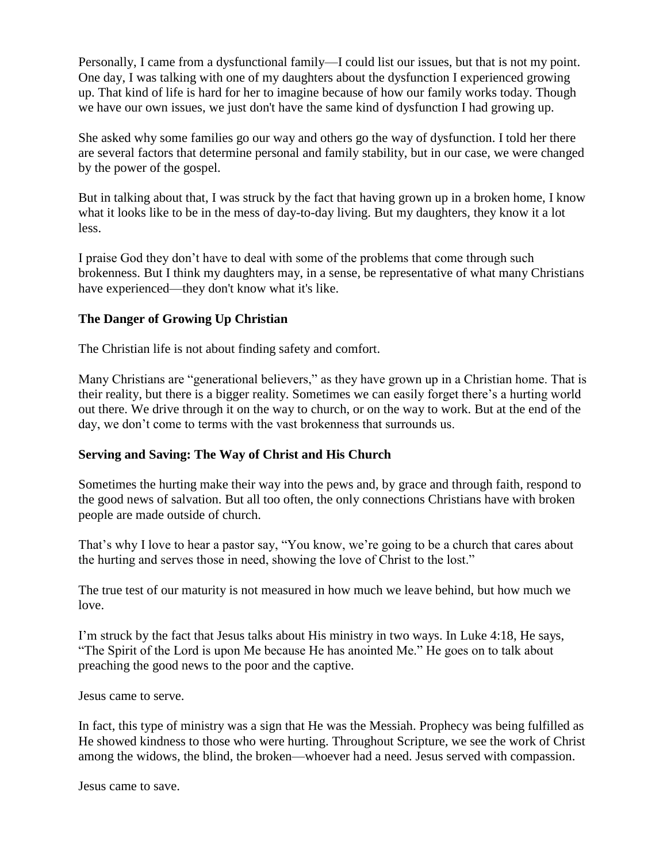Personally, I came from a dysfunctional family—I could list our issues, but that is not my point. One day, I was talking with one of my daughters about the dysfunction I experienced growing up. That kind of life is hard for her to imagine because of how our family works today. Though we have our own issues, we just don't have the same kind of dysfunction I had growing up.

She asked why some families go our way and others go the way of dysfunction. I told her there are several factors that determine personal and family stability, but in our case, we were changed by the power of the gospel.

But in talking about that, I was struck by the fact that having grown up in a broken home, I know what it looks like to be in the mess of day-to-day living. But my daughters, they know it a lot less.

I praise God they don't have to deal with some of the problems that come through such brokenness. But I think my daughters may, in a sense, be representative of what many Christians have experienced—they don't know what it's like.

### **The Danger of Growing Up Christian**

The Christian life is not about finding safety and comfort.

Many Christians are "generational believers," as they have grown up in a Christian home. That is their reality, but there is a bigger reality. Sometimes we can easily forget there's a hurting world out there. We drive through it on the way to church, or on the way to work. But at the end of the day, we don't come to terms with the vast brokenness that surrounds us.

## **Serving and Saving: The Way of Christ and His Church**

Sometimes the hurting make their way into the pews and, by grace and through faith, respond to the good news of salvation. But all too often, the only connections Christians have with broken people are made outside of church.

That's why I love to hear a pastor say, "You know, we're going to be a church that cares about the hurting and serves those in need, showing the love of Christ to the lost."

The true test of our maturity is not measured in how much we leave behind, but how much we love.

I'm struck by the fact that Jesus talks about His ministry in two ways. In Luke 4:18, He says, "The Spirit of the Lord is upon Me because He has anointed Me." He goes on to talk about preaching the good news to the poor and the captive.

Jesus came to serve.

In fact, this type of ministry was a sign that He was the Messiah. Prophecy was being fulfilled as He showed kindness to those who were hurting. Throughout Scripture, we see the work of Christ among the widows, the blind, the broken—whoever had a need. Jesus served with compassion.

Jesus came to save.